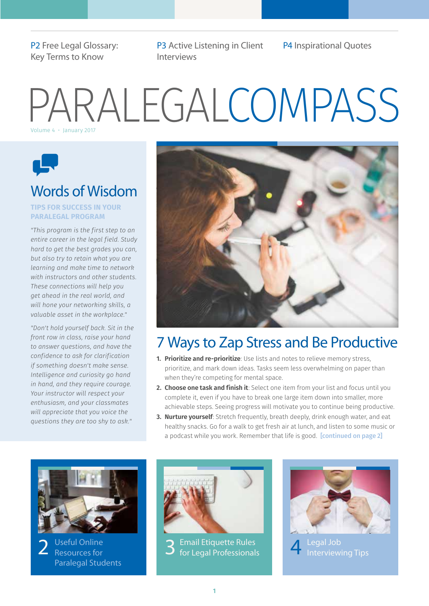[P2 Free Legal Glossary:](#page-1-2)  [Key Terms to Know](#page-1-2) 

[P3 Active Listening in Client](#page-2-1) P4 [Inspirational Quotes](#page-3-1) [Interviews](#page-2-1)

# PARALEGALCOMPASS



### Words of Wisdom

#### **TIPS FOR SUCCESS IN YOUR PARALEGAL PROGRAM**

*"This program is the first step to an entire career in the legal field. Study hard to get the best grades you can, but also try to retain what you are learning and make time to network with instructors and other students. These connections will help you get ahead in the real world, and will hone your networking skills, a valuable asset in the workplace."*

*"Don't hold yourself back. Sit in the front row in class, raise your hand to answer questions, and have the confidence to ask for clarification if something doesn't make sense. Intelligence and curiosity go hand in hand, and they require courage. Your instructor will respect your enthusiasm, and your classmates will appreciate that you voice the questions they are too shy to ask!"*



### 7 Ways to Zap Stress and Be Productive

- **1. Prioritize and re-prioritize**: Use lists and notes to relieve memory stress, prioritize, and mark down ideas. Tasks seem less overwhelming on paper than when they're competing for mental space.
- **2. Choose one task and finish it**: Select one item from your list and focus until you complete it, even if you have to break one large item down into smaller, more achievable steps. Seeing progress will motivate you to continue being productive.
- **3. Nurture yourself**: Stretch frequently, breath deeply, drink enough water, and eat healthy snacks. Go for a walk to get fresh air at lunch, and listen to some music or a podcast while you work. Remember that life is good. **[\[continued on page 2\]](#page-1-0)**



[Useful Online](#page-1-1)  [2](#page-1-1) Useful Online 2 [3](#page-2-0) [Paralegal Students](#page-1-1) 



[Email Etiquette Rules](#page-2-0)  [for Legal Professionals](#page-2-0)



Legal Job<br>[Interviewing Tips](#page-3-0)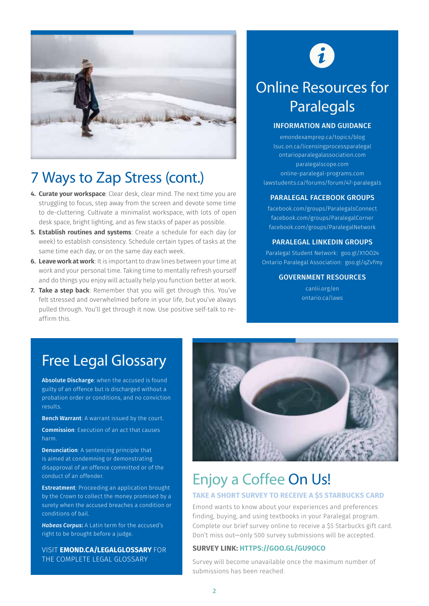

### <span id="page-1-0"></span>7 Ways to Zap Stress (cont.)

- **4. Curate your workspace**: Clear desk, clear mind. The next time you are struggling to focus, step away from the screen and devote some time to de-cluttering. Cultivate a minimalist workspace, with lots of open desk space, bright lighting, and as few stacks of paper as possible.
- **5. Establish routines and systems**: Create a schedule for each day (or week) to establish consistency. Schedule certain types of tasks at the same time each day, or on the same day each week.
- **6. Leave work at work**: It is important to draw lines between your time at work and your personal time. Taking time to mentally refresh yourself and do things you enjoy will actually help you function better at work.
- **7. Take a step back**: Remember that you will get through this. You've felt stressed and overwhelmed before in your life, but you've always pulled through. You'll get through it now. Use positive self-talk to reaffirm this.

# $\mathbf{i}$

### <span id="page-1-1"></span>Online Resources for **Paralegals**

### INFORMATION AND GUIDANCE

[emondexamprep.ca/topics/blog](http://emondexamprep.ca/topics/blog) [lsuc.on.ca/licensingprocessparalegal](http://lsuc.on.ca/licensingprocessparalegal/) [ontarioparalegalassociation.com](http://ontarioparalegalassociation.com/cpages/homepage)  [paralegalscope.com](http://paralegalscope.com/) [online-paralegal-programs.com](http://www.online-paralegal-programs.com/)  [lawstudents.ca/forums/forum/47-paralegals](http://lawstudents.ca/forums/forum/47-paralegals)

### PARALEGAL FACEBOOK GROUPS

[facebook.com/groups/ParalegalsConnect](https://www.facebook.com/groups/ParalegalsConnect%3F_rdr%3Dp) [facebook.com/groups/ParalegalCorner](https://www.facebook.com/groups/paralegalcorner%3F_rdr%3Dp) [facebook.com/groups/ParalegalNetwork](https://www.facebook.com/groups/ParalegalNetwork%3F_rdr%3Dp)

#### PARALEGAL LINKEDIN GROUPS

Paralegal Studen[t Network:](http://goo.gl/CBww3z) [goo.gl/X1OO24](https://www.linkedin.com/groups/4791819) [Ontario Paralegal Association: goo.gl/qZvfmy](http://goo.gl/qZvfmy)

### GOVERNMENT RESOURCES

[canlii.org/en](http://www.canlii.org/canlii-dynamic/en/)  [ontario.ca/laws](http://www.ontario.ca/laws)

### <span id="page-1-2"></span>Free Legal Glossary

Absolute Discharge: when the accused is found guilty of an offence but is discharged without a probation order or conditions, and no conviction results.

Bench Warrant: A warrant issued by the court.

Commission: Execution of an act that causes harm.

Denunciation: A sentencing principle that is aimed at condemning or demonstrating disapproval of an offence committed or of the conduct of an offender.

Estreatment: Proceeding an application brought by the Crown to collect the money promised by a surety when the accused breaches a condition or conditions of bail.

*Habeas Corpus*: A Latin term for the accused's right to be brought before a judge.

VISIT **[EMOND.CA/LEGALGLOSSARY](http://www.emond.ca/higher-education/glossary-of-legal-terms.html)** FOR THE COMPLETE LEGAL GLOSSARY



# Enjoy a Coffee On Us!

### **TAKE A SHORT SURVEY TO RECEIVE A \$5 STARBUCKS CARD**

Emond wants to know about your experiences and preferences finding, buying, and using textbooks in your Paralegal program. Complete our brief survey online to receive a \$5 Starbucks gift card. Don't miss out—only 500 survey submissions will be accepted.

### **SURVEY LINK: [HTTPS://GOO.GL/GU9OCO](https://goo.gl/gU9OcO)**

Survey will become unavailable once the maximum number of submissions has been reached.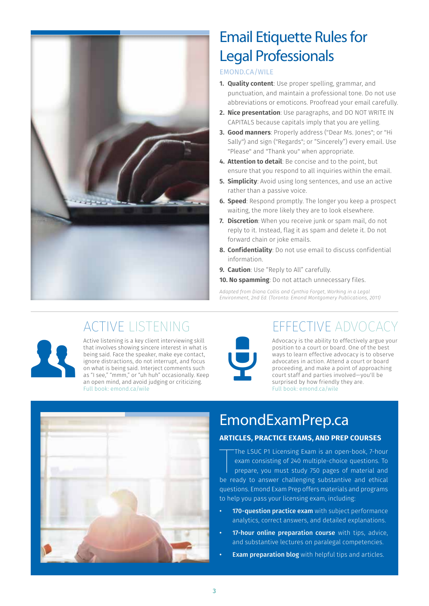

### <span id="page-2-0"></span>Email Etiquette Rules for Legal Professionals

### [EMOND.CA/WILE](http://www.emond.ca/working-in-a-legal-environment-2nd-edition.html)

- **1. Quality content**: Use proper spelling, grammar, and punctuation, and maintain a professional tone. Do not use abbreviations or emoticons. Proofread your email carefully.
- **2. Nice presentation**: Use paragraphs, and DO NOT WRITE IN CAPITALS because capitals imply that you are yelling.
- **3. Good manners**: Properly address ("Dear Ms. Jones"; or "Hi Sally") and sign ("Regards"; or "Sincerely") every email. Use "Please" and "Thank you" when appropriate.
- **4. Attention to detail**: Be concise and to the point, but ensure that you respond to all inquiries within the email.
- **5. Simplicity**: Avoid using long sentences, and use an active rather than a passive voice.
- **6. Speed**: Respond promptly. The longer you keep a prospect waiting, the more likely they are to look elsewhere.
- **7. Discretion**: When you receive junk or spam mail, do not reply to it. Instead, flag it as spam and delete it. Do not forward chain or joke emails.
- **8. Confidentiality**: Do not use email to discuss confidential information.
- **9. Caution**: Use "Reply to All" carefully.
- **10. No spamming**: Do not attach unnecessary files.

*Adapted from Diana Collis and Cynthia Forget, Working in a Legal Environment, 2nd Ed. (Toronto: Emond Montgomery Publications, 2011)*

### <span id="page-2-1"></span>ACTIVE LISTENING



ACTIVE LISTENING<br>
ACTIVE LISTENING<br>
ACTIVE LISTENING<br>
Active listening is a key client interviewing skill<br>
that involves showing sincere interest in what is<br>
being said. Face the speaker, make eye contact,<br>
ignore distract Active listening is a key client interviewing skill that involves showing sincere interest in what is being said. Face the speaker, make eye contact, ignore distractions, do not interrupt, and focus on what is being said. Interject comments such as "I see," "mmm," or "uh huh" occasionally. Keep an open mind, and avoid judging or criticizing. Full book: [emond.ca/wile](http://www.emond.ca/working-in-a-legal-environment-2nd-edition.html)



### EFFECTIVE ADVOCACY

Advocacy is the ability to effectively argue your position to a court or board. One of the best ways to learn effective advocacy is to observe advocates in action. Attend a court or board proceeding, and make a point of approaching court staff and parties involved—you'll be surprised by how friendly they are. Full book: [emond.ca/wile](http://www.emond.ca/working-in-a-legal-environment-2nd-edition.html)



### [EmondExamPrep.ca](http://emondexamprep.ca/)

### **ARTICLES, PRACTICE EXAMS, AND PREP COURSES**

The LSUC P1 Licensing Exam is an open-book, 7-hour<br>exam consisting of 240 multiple-choice questions. To<br>prepare, you must study 750 pages of material and<br>be ready to answer challenging substantive and ethical The LSUC P1 Licensing Exam is an open-book, 7-hour exam consisting of 240 multiple-choice questions. To prepare, you must study 750 pages of material and questions. Emond Exam Prep offers materials and programs to help you pass your licensing exam, including:

- 170-question practice exam with subject performance analytics, correct answers, and detailed explanations.
- 17-hour online preparation course with tips, advice, and substantive lectures on paralegal competencies.
- **Exam preparation blog** with helpful tips and articles.